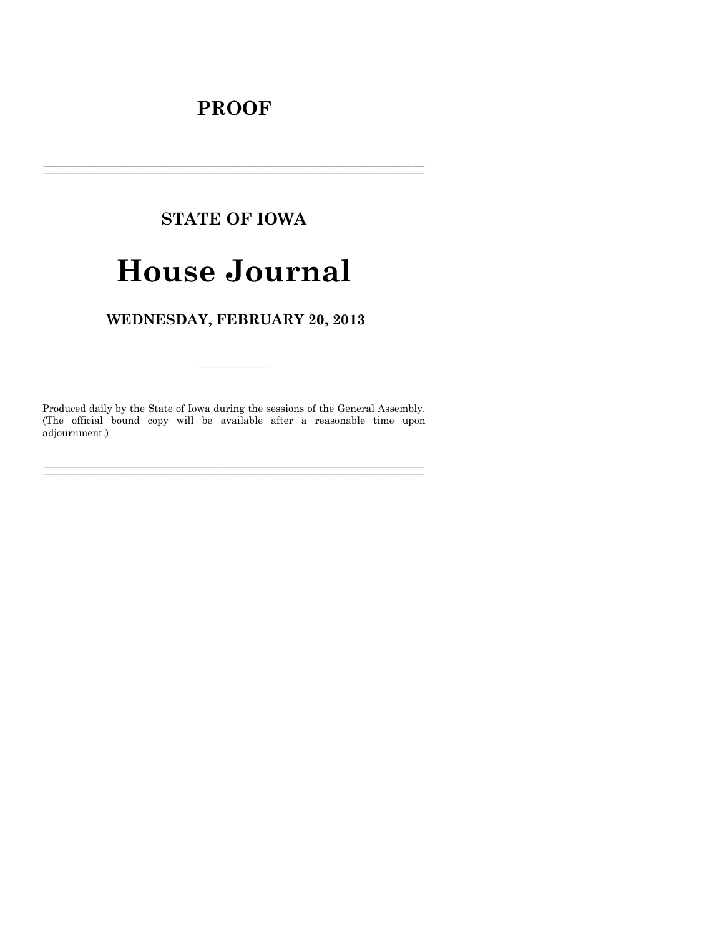# **PROOF**

# **STATE OF IOWA**

# **House Journal**

# WEDNESDAY, FEBRUARY 20, 2013

Produced daily by the State of Iowa during the sessions of the General Assembly. (The official bound copy will be available after a reasonable time upon adjournment.)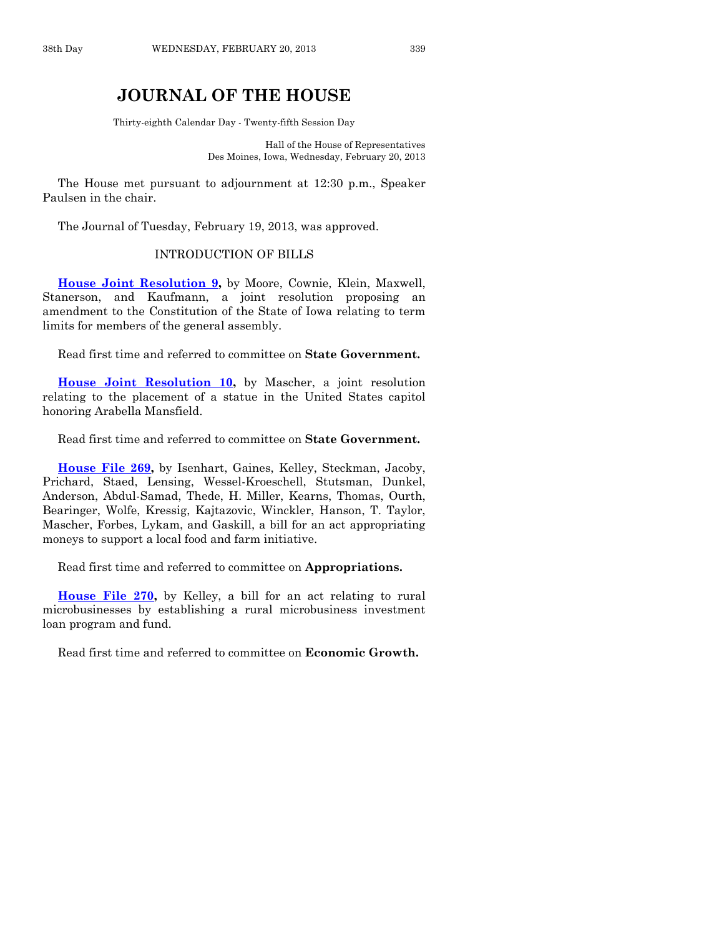# **JOURNAL OF THE HOUSE**

Thirty-eighth Calendar Day - Twenty-fifth Session Day

Hall of the House of Representatives Des Moines, Iowa, Wednesday, February 20, 2013

The House met pursuant to adjournment at 12:30 p.m., Speaker Paulsen in the chair.

The Journal of Tuesday, February 19, 2013, was approved.

# INTRODUCTION OF BILLS

**[House Joint Resolution 9,](http://coolice.legis.state.ia.us/Cool-ICE/default.asp?Category=billinfo&Service=Billbook&frame=1&GA=85&hbill=HJR9)** by Moore, Cownie, Klein, Maxwell, Stanerson, and Kaufmann, a joint resolution proposing an amendment to the Constitution of the State of Iowa relating to term limits for members of the general assembly.

Read first time and referred to committee on **State Government.**

**[House Joint Resolution 10,](http://coolice.legis.state.ia.us/Cool-ICE/default.asp?Category=billinfo&Service=Billbook&frame=1&GA=85&hbill=HJR10)** by Mascher, a joint resolution relating to the placement of a statue in the United States capitol honoring Arabella Mansfield.

Read first time and referred to committee on **State Government.**

**[House File 269,](http://coolice.legis.state.ia.us/Cool-ICE/default.asp?Category=billinfo&Service=Billbook&frame=1&GA=85&hbill=HF269)** by Isenhart, Gaines, Kelley, Steckman, Jacoby, Prichard, Staed, Lensing, Wessel-Kroeschell, Stutsman, Dunkel, Anderson, Abdul-Samad, Thede, H. Miller, Kearns, Thomas, Ourth, Bearinger, Wolfe, Kressig, Kajtazovic, Winckler, Hanson, T. Taylor, Mascher, Forbes, Lykam, and Gaskill, a bill for an act appropriating moneys to support a local food and farm initiative.

Read first time and referred to committee on **Appropriations.**

**[House File 270,](http://coolice.legis.state.ia.us/Cool-ICE/default.asp?Category=billinfo&Service=Billbook&frame=1&GA=85&hbill=HF270)** by Kelley, a bill for an act relating to rural microbusinesses by establishing a rural microbusiness investment loan program and fund.

Read first time and referred to committee on **Economic Growth.**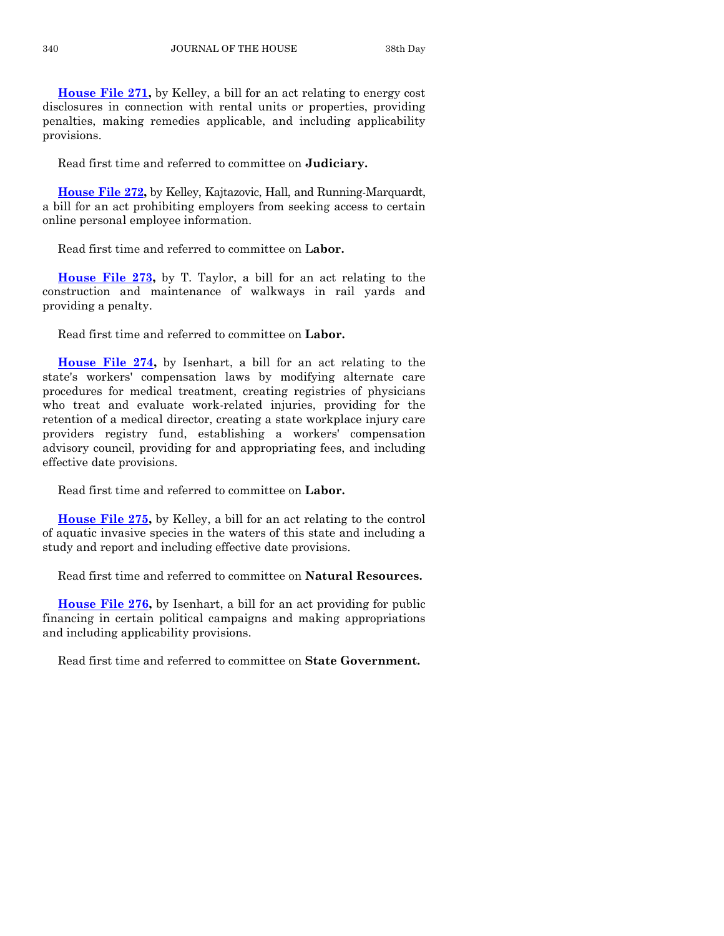**[House File 271,](http://coolice.legis.state.ia.us/Cool-ICE/default.asp?Category=billinfo&Service=Billbook&frame=1&GA=85&hbill=HF271)** by Kelley, a bill for an act relating to energy cost disclosures in connection with rental units or properties, providing penalties, making remedies applicable, and including applicability provisions.

Read first time and referred to committee on **Judiciary.**

**[House File 272,](http://coolice.legis.state.ia.us/Cool-ICE/default.asp?Category=billinfo&Service=Billbook&frame=1&GA=85&hbill=HF272)** by Kelley, Kajtazovic, Hall, and Running-Marquardt, a bill for an act prohibiting employers from seeking access to certain online personal employee information.

Read first time and referred to committee on L**abor.**

**[House File 273,](http://coolice.legis.state.ia.us/Cool-ICE/default.asp?Category=billinfo&Service=Billbook&frame=1&GA=85&hbill=HF273)** by T. Taylor, a bill for an act relating to the construction and maintenance of walkways in rail yards and providing a penalty.

Read first time and referred to committee on **Labor.**

**[House File 274,](http://coolice.legis.state.ia.us/Cool-ICE/default.asp?Category=billinfo&Service=Billbook&frame=1&GA=85&hbill=HF274)** by Isenhart, a bill for an act relating to the state's workers' compensation laws by modifying alternate care procedures for medical treatment, creating registries of physicians who treat and evaluate work-related injuries, providing for the retention of a medical director, creating a state workplace injury care providers registry fund, establishing a workers' compensation advisory council, providing for and appropriating fees, and including effective date provisions.

Read first time and referred to committee on **Labor.**

**[House File 275,](http://coolice.legis.state.ia.us/Cool-ICE/default.asp?Category=billinfo&Service=Billbook&frame=1&GA=85&hbill=HF275)** by Kelley, a bill for an act relating to the control of aquatic invasive species in the waters of this state and including a study and report and including effective date provisions.

Read first time and referred to committee on **Natural Resources.**

**[House File 276,](http://coolice.legis.state.ia.us/Cool-ICE/default.asp?Category=billinfo&Service=Billbook&frame=1&GA=85&hbill=HF276)** by Isenhart, a bill for an act providing for public financing in certain political campaigns and making appropriations and including applicability provisions.

Read first time and referred to committee on **State Government.**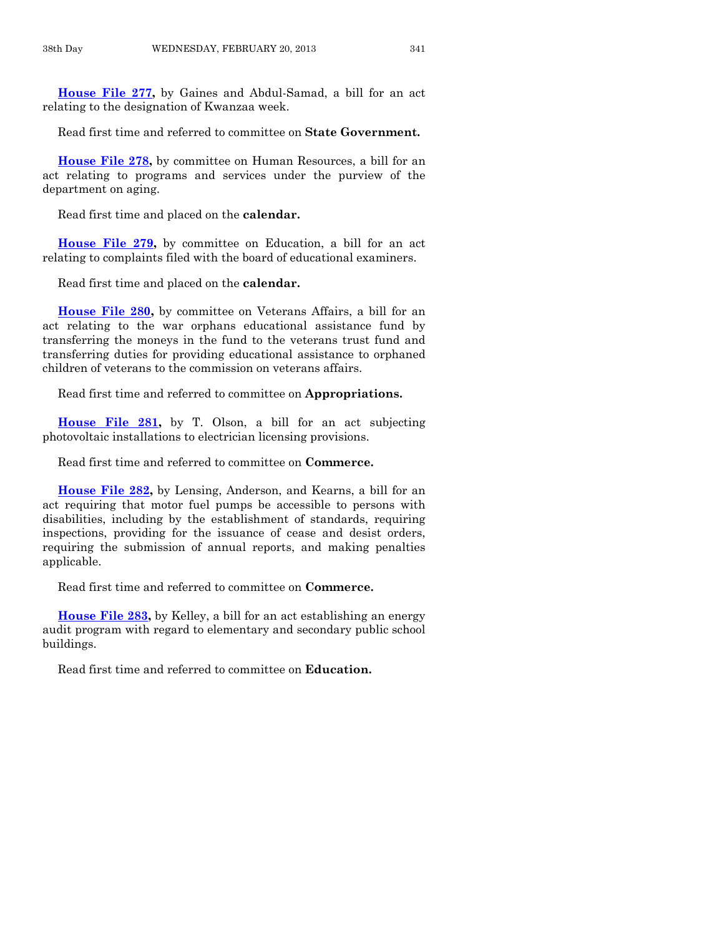**[House File 277,](http://coolice.legis.state.ia.us/Cool-ICE/default.asp?Category=billinfo&Service=Billbook&frame=1&GA=85&hbill=HF277)** by Gaines and Abdul-Samad, a bill for an act relating to the designation of Kwanzaa week.

Read first time and referred to committee on **State Government.**

**[House File 278,](http://coolice.legis.state.ia.us/Cool-ICE/default.asp?Category=billinfo&Service=Billbook&frame=1&GA=85&hbill=HF278)** by committee on Human Resources, a bill for an act relating to programs and services under the purview of the department on aging.

Read first time and placed on the **calendar.**

**[House File 279,](http://coolice.legis.state.ia.us/Cool-ICE/default.asp?Category=billinfo&Service=Billbook&frame=1&GA=85&hbill=HF279)** by committee on Education, a bill for an act relating to complaints filed with the board of educational examiners.

Read first time and placed on the **calendar.**

**[House File 280,](http://coolice.legis.state.ia.us/Cool-ICE/default.asp?Category=billinfo&Service=Billbook&frame=1&GA=85&hbill=HF280)** by committee on Veterans Affairs, a bill for an act relating to the war orphans educational assistance fund by transferring the moneys in the fund to the veterans trust fund and transferring duties for providing educational assistance to orphaned children of veterans to the commission on veterans affairs.

Read first time and referred to committee on **Appropriations.**

**[House File 281,](http://coolice.legis.state.ia.us/Cool-ICE/default.asp?Category=billinfo&Service=Billbook&frame=1&GA=85&hbill=HF281)** by T. Olson, a bill for an act subjecting photovoltaic installations to electrician licensing provisions.

Read first time and referred to committee on **Commerce.**

**[House File 282,](http://coolice.legis.state.ia.us/Cool-ICE/default.asp?Category=billinfo&Service=Billbook&frame=1&GA=85&hbill=HF282)** by Lensing, Anderson, and Kearns, a bill for an act requiring that motor fuel pumps be accessible to persons with disabilities, including by the establishment of standards, requiring inspections, providing for the issuance of cease and desist orders, requiring the submission of annual reports, and making penalties applicable.

Read first time and referred to committee on **Commerce.**

**[House File 283,](http://coolice.legis.state.ia.us/Cool-ICE/default.asp?Category=billinfo&Service=Billbook&frame=1&GA=85&hbill=HF283)** by Kelley, a bill for an act establishing an energy audit program with regard to elementary and secondary public school buildings.

Read first time and referred to committee on **Education.**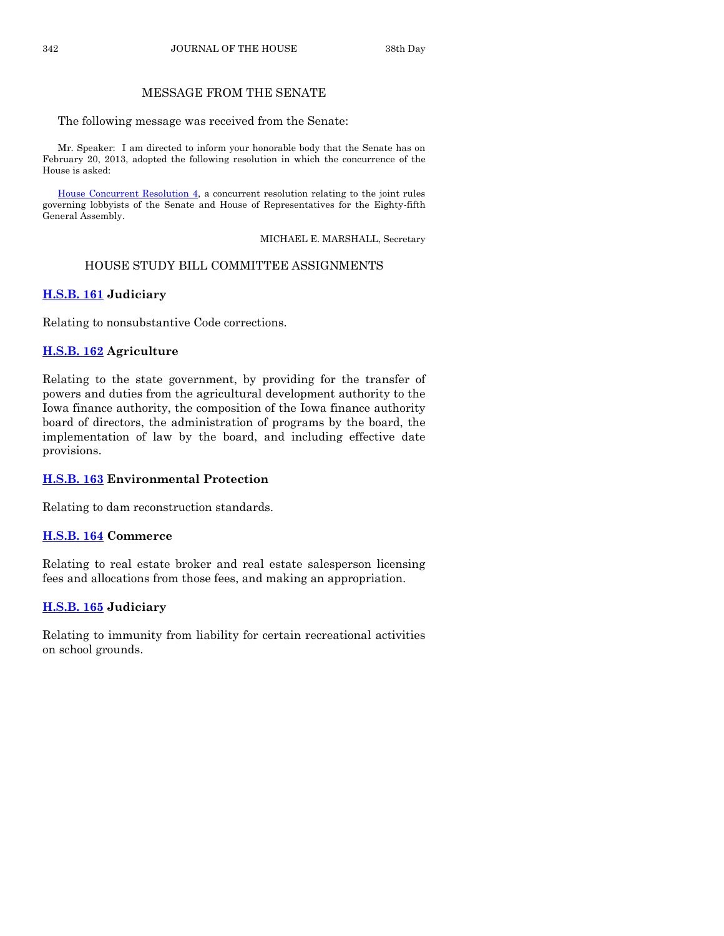# MESSAGE FROM THE SENATE

The following message was received from the Senate:

Mr. Speaker: I am directed to inform your honorable body that the Senate has on February 20, 2013, adopted the following resolution in which the concurrence of the House is asked:

[House Concurrent Resolution 4,](http://coolice.legis.state.ia.us/Cool-ICE/default.asp?Category=billinfo&Service=Billbook&frame=1&GA=85&hbill=HCR4) a concurrent resolution relating to the joint rules governing lobbyists of the Senate and House of Representatives for the Eighty-fifth General Assembly.

MICHAEL E. MARSHALL, Secretary

# HOUSE STUDY BILL COMMITTEE ASSIGNMENTS

# **[H.S.B. 161](http://coolice.legis.state.ia.us/Cool-ICE/default.asp?Category=billinfo&Service=Billbook&frame=1&GA=85&hbill=HSB161) Judiciary**

Relating to nonsubstantive Code corrections.

# **[H.S.B. 162](http://coolice.legis.state.ia.us/Cool-ICE/default.asp?Category=billinfo&Service=Billbook&frame=1&GA=85&hbill=HSB162) Agriculture**

Relating to the state government, by providing for the transfer of powers and duties from the agricultural development authority to the Iowa finance authority, the composition of the Iowa finance authority board of directors, the administration of programs by the board, the implementation of law by the board, and including effective date provisions.

# **[H.S.B. 163](http://coolice.legis.state.ia.us/Cool-ICE/default.asp?Category=billinfo&Service=Billbook&frame=1&GA=85&hbill=HSB163) Environmental Protection**

Relating to dam reconstruction standards.

# **[H.S.B. 164](http://coolice.legis.state.ia.us/Cool-ICE/default.asp?Category=billinfo&Service=Billbook&frame=1&GA=85&hbill=HSB164) Commerce**

Relating to real estate broker and real estate salesperson licensing fees and allocations from those fees, and making an appropriation.

# **[H.S.B. 165](http://coolice.legis.state.ia.us/Cool-ICE/default.asp?Category=billinfo&Service=Billbook&frame=1&GA=85&hbill=HSB165) Judiciary**

Relating to immunity from liability for certain recreational activities on school grounds.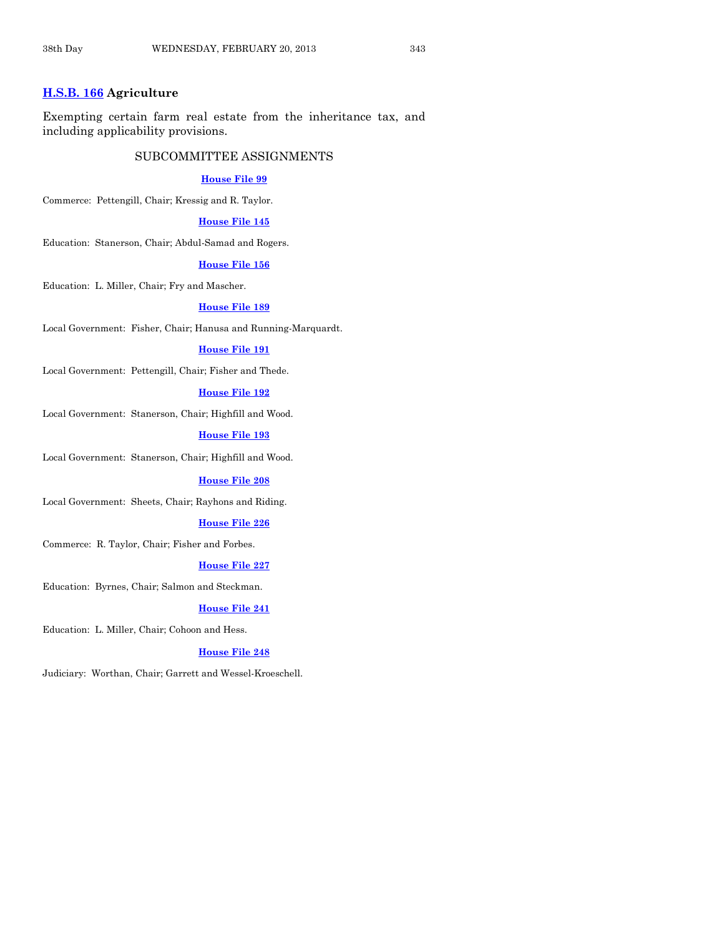# **[H.S.B. 166](http://coolice.legis.state.ia.us/Cool-ICE/default.asp?Category=billinfo&Service=Billbook&frame=1&GA=85&hbill=HSB166) Agriculture**

Exempting certain farm real estate from the inheritance tax, and including applicability provisions.

## SUBCOMMITTEE ASSIGNMENTS

#### **[House File](http://coolice.legis.state.ia.us/Cool-ICE/default.asp?Category=billinfo&Service=Billbook&frame=1&GA=85&hbill=HF99) 99**

Commerce: Pettengill, Chair; Kressig and R. Taylor.

## **[House File](http://coolice.legis.state.ia.us/Cool-ICE/default.asp?Category=billinfo&Service=Billbook&frame=1&GA=85&hbill=HF145) 145**

Education: Stanerson, Chair; Abdul-Samad and Rogers.

#### **[House File](http://coolice.legis.state.ia.us/Cool-ICE/default.asp?Category=billinfo&Service=Billbook&frame=1&GA=85&hbill=HF156) 156**

Education: L. Miller, Chair; Fry and Mascher.

#### **[House File](http://coolice.legis.state.ia.us/Cool-ICE/default.asp?Category=billinfo&Service=Billbook&frame=1&GA=85&hbill=HF189) 189**

Local Government: Fisher, Chair; Hanusa and Running-Marquardt.

#### **[House File](http://coolice.legis.state.ia.us/Cool-ICE/default.asp?Category=billinfo&Service=Billbook&frame=1&GA=85&hbill=HF191) 191**

Local Government: Pettengill, Chair; Fisher and Thede.

#### **[House File](http://coolice.legis.state.ia.us/Cool-ICE/default.asp?Category=billinfo&Service=Billbook&frame=1&GA=85&hbill=HF192) 192**

Local Government: Stanerson, Chair; Highfill and Wood.

**[House File](http://coolice.legis.state.ia.us/Cool-ICE/default.asp?Category=billinfo&Service=Billbook&frame=1&GA=85&hbill=HF193) 193**

Local Government: Stanerson, Chair; Highfill and Wood.

#### **[House File](http://coolice.legis.state.ia.us/Cool-ICE/default.asp?Category=billinfo&Service=Billbook&frame=1&GA=85&hbill=HF208) 208**

Local Government: Sheets, Chair; Rayhons and Riding.

#### **[House File](http://coolice.legis.state.ia.us/Cool-ICE/default.asp?Category=billinfo&Service=Billbook&frame=1&GA=85&hbill=HF226) 226**

Commerce: R. Taylor, Chair; Fisher and Forbes.

#### **[House File](http://coolice.legis.state.ia.us/Cool-ICE/default.asp?Category=billinfo&Service=Billbook&frame=1&GA=85&hbill=HF227) 227**

Education: Byrnes, Chair; Salmon and Steckman.

#### **[House File](http://coolice.legis.state.ia.us/Cool-ICE/default.asp?Category=billinfo&Service=Billbook&frame=1&GA=85&hbill=HF241) 241**

Education: L. Miller, Chair; Cohoon and Hess.

#### **[House File](http://coolice.legis.state.ia.us/Cool-ICE/default.asp?Category=billinfo&Service=Billbook&frame=1&GA=85&hbill=HF248) 248**

Judiciary: Worthan, Chair; Garrett and Wessel-Kroeschell.